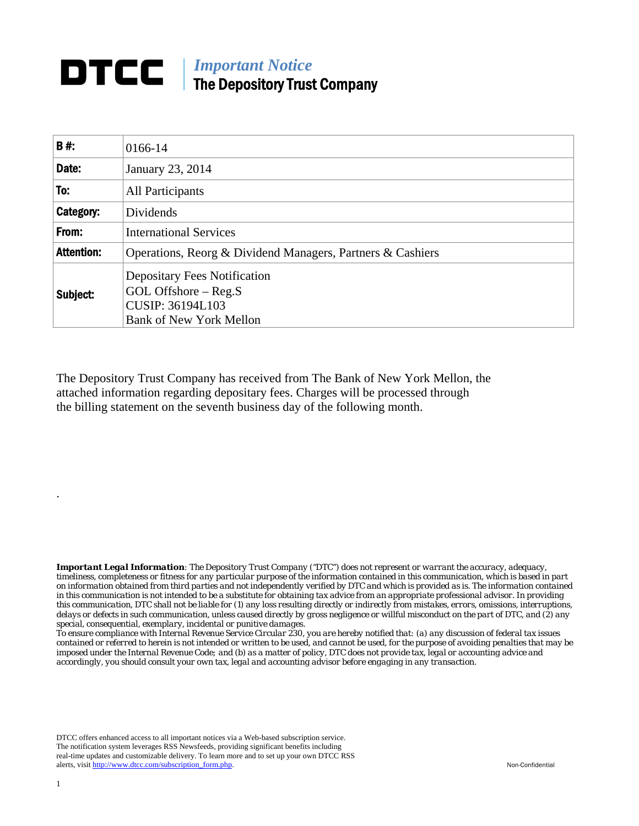## **DTCC** | *Important Notice* The Depository Trust Company

| B#:               | 0166-14                                                                                                                      |
|-------------------|------------------------------------------------------------------------------------------------------------------------------|
| Date:             | January 23, 2014                                                                                                             |
| To:               | All Participants                                                                                                             |
| Category:         | Dividends                                                                                                                    |
| From:             | <b>International Services</b>                                                                                                |
| <b>Attention:</b> | Operations, Reorg & Dividend Managers, Partners & Cashiers                                                                   |
| Subject:          | <b>Depositary Fees Notification</b><br>$GOL$ Offshore $-$ Reg.S<br><b>CUSIP: 36194L103</b><br><b>Bank of New York Mellon</b> |

The Depository Trust Company has received from The Bank of New York Mellon, the attached information regarding depositary fees. Charges will be processed through the billing statement on the seventh business day of the following month.

*Important Legal Information: The Depository Trust Company ("DTC") does not represent or warrant the accuracy, adequacy, timeliness, completeness or fitness for any particular purpose of the information contained in this communication, which is based in part on information obtained from third parties and not independently verified by DTC and which is provided as is. The information contained in this communication is not intended to be a substitute for obtaining tax advice from an appropriate professional advisor. In providing this communication, DTC shall not be liable for (1) any loss resulting directly or indirectly from mistakes, errors, omissions, interruptions, delays or defects in such communication, unless caused directly by gross negligence or willful misconduct on the part of DTC, and (2) any special, consequential, exemplary, incidental or punitive damages.* 

*To ensure compliance with Internal Revenue Service Circular 230, you are hereby notified that: (a) any discussion of federal tax issues contained or referred to herein is not intended or written to be used, and cannot be used, for the purpose of avoiding penalties that may be imposed under the Internal Revenue Code; and (b) as a matter of policy, DTC does not provide tax, legal or accounting advice and accordingly, you should consult your own tax, legal and accounting advisor before engaging in any transaction.*

DTCC offers enhanced access to all important notices via a Web-based subscription service. The notification system leverages RSS Newsfeeds, providing significant benefits including real-time updates and customizable delivery. To learn more and to set up your own DTCC RSS alerts, visit http://www.dtcc.com/subscription\_form.php. Non-Confidential

.